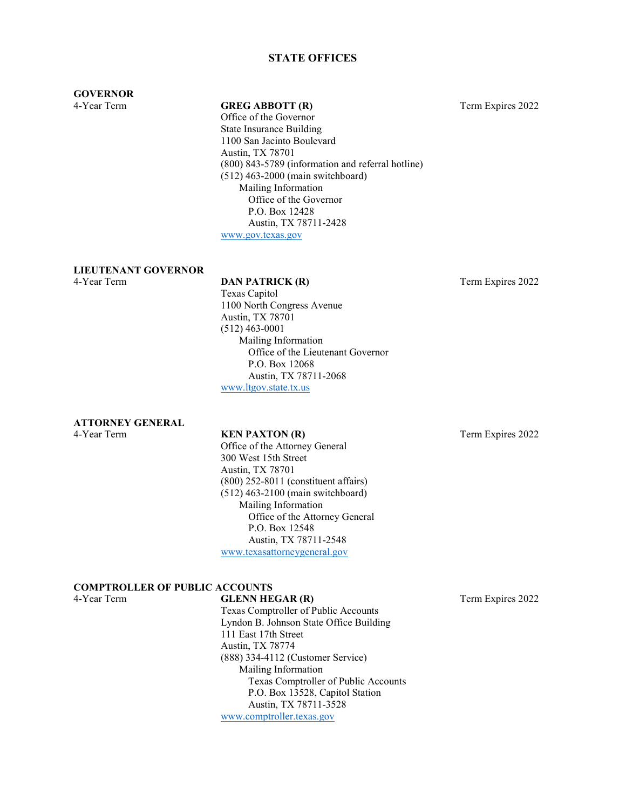### **STATE OFFICES**

### **GOVERNOR**

#### 4-Year Term **GREG ABBOTT (R)** Term Expires 2022

Office of the Governor State Insurance Building 1100 San Jacinto Boulevard Austin, TX 78701 (800) 843-5789 (information and referral hotline) (512) 463-2000 (main switchboard) Mailing Information Office of the Governor P.O. Box 12428 Austin, TX 78711-2428 [www.gov.texas.gov](http://www.gov.texas.gov/)

# **LIEUTENANT GOVERNOR**

#### **DAN PATRICK (R)** Term Expires 2022

Texas Capitol 1100 North Congress Avenue Austin, TX 78701 (512) 463-0001 Mailing Information Office of the Lieutenant Governor P.O. Box 12068 Austin, TX 78711-2068 [www.ltgov.state.tx.us](http://www.ltgov.state.tx.us/)

**ATTORNEY GENERAL**

4-Year Term **KEN PAXTON (R)** Term Expires 2022 Office of the Attorney General 300 West 15th Street Austin, TX 78701 (800) 252-8011 (constituent affairs) (512) 463-2100 (main switchboard) Mailing Information Office of the Attorney General P.O. Box 12548 Austin, TX 78711-2548 [www.texasattorneygeneral.gov](http://www.texasattorneygeneral.gov/)

#### **COMPTROLLER OF PUBLIC ACCOUNTS**

4-Year Term **GLENN HEGAR (R)** Term Expires 2022 Texas Comptroller of Public Accounts Lyndon B. Johnson State Office Building 111 East 17th Street Austin, TX 78774 (888) 334-4112 (Customer Service) Mailing Information Texas Comptroller of Public Accounts P.O. Box 13528, Capitol Station Austin, TX 78711-3528 [www.comptroller.texas.gov](http://www.comptroller.texas.gov/)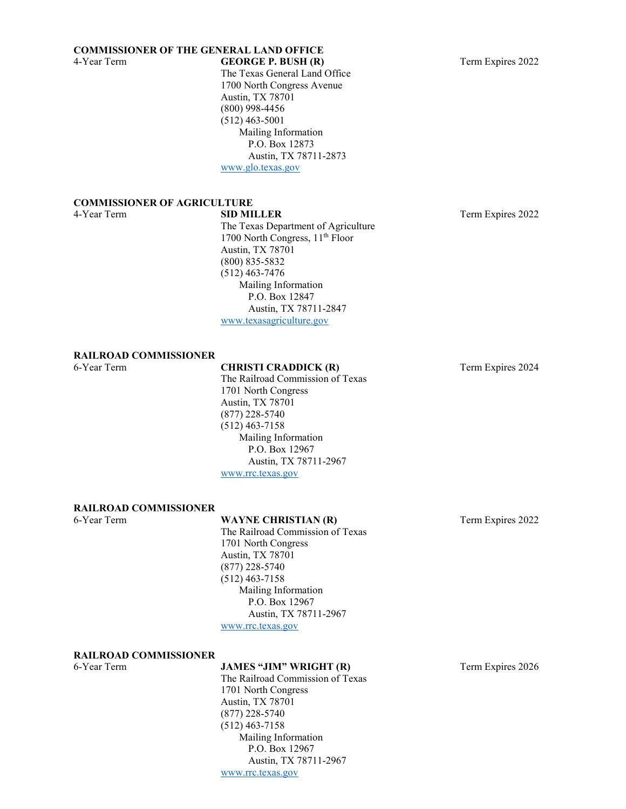### **COMMISSIONER OF THE GENERAL LAND OFFICE**

The Texas General Land Office 1700 North Congress Avenue Austin, TX 78701 (800) 998-4456 (512) 463-5001 Mailing Information P.O. Box 12873 Austin, TX 78711-2873 [www.glo.texas.gov](http://www.glo.texas.gov/)

# **COMMISSIONER OF AGRICULTURE**

The Texas Department of Agriculture 1700 North Congress, 11th Floor Austin, TX 78701 (800) 835-5832 (512) 463-7476 Mailing Information P.O. Box 12847 Austin, TX 78711-2847 [www.texasagriculture.gov](http://www.texasagriculture.gov/)

**RAILROAD COMMISSIONER**

### 6-Year Term **CHRISTI CRADDICK (R)** Term Expires 2024

The Railroad Commission of Texas 1701 North Congress Austin, TX 78701 (877) 228-5740 (512) 463-7158 Mailing Information P.O. Box 12967 Austin, TX 78711-2967 [www.rrc.texas.gov](http://www.rrc.texas.gov/)

#### **RAILROAD COMMISSIONER**

### 6-Year Term **WAYNE CHRISTIAN (R)** Term Expires 2022

The Railroad Commission of Texas 1701 North Congress Austin, TX 78701 (877) 228-5740 (512) 463-7158 Mailing Information P.O. Box 12967 Austin, TX 78711-2967 [www.rrc.texas.gov](http://www.rrc.texas.gov/)

#### **RAILROAD COMMISSIONER**

6-Year Term **JAMES "JIM" WRIGHT (R)** Term Expires 2026 The Railroad Commission of Texas 1701 North Congress Austin, TX 78701 (877) 228-5740 (512) 463-7158 Mailing Information P.O. Box 12967 Austin, TX 78711-2967 [www.rrc.texas.gov](http://www.rrc.texas.gov/)

Term Expires 2022

4-Year Term **GEORGE P. BUSH (R)** Term Expires 2022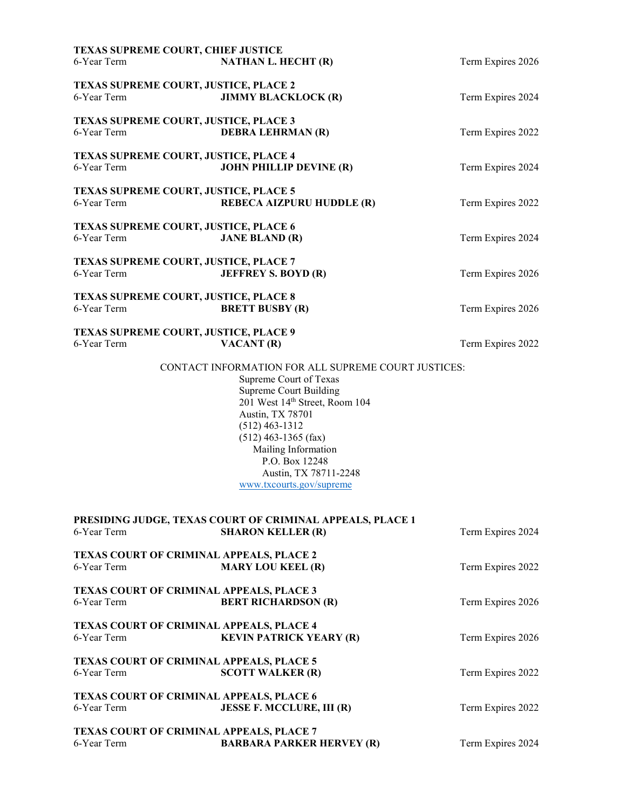| TEXAS SUPREME COURT, CHIEF JUSTICE<br>6-Year Term              | <b>NATHAN L. HECHT (R)</b>                                                                                                                                                                                                                                                                                       | Term Expires 2026 |
|----------------------------------------------------------------|------------------------------------------------------------------------------------------------------------------------------------------------------------------------------------------------------------------------------------------------------------------------------------------------------------------|-------------------|
|                                                                |                                                                                                                                                                                                                                                                                                                  |                   |
| TEXAS SUPREME COURT, JUSTICE, PLACE 2<br>6-Year Term           | <b>JIMMY BLACKLOCK (R)</b>                                                                                                                                                                                                                                                                                       | Term Expires 2024 |
| TEXAS SUPREME COURT, JUSTICE, PLACE 3<br>6-Year Term           | <b>DEBRA LEHRMAN (R)</b>                                                                                                                                                                                                                                                                                         | Term Expires 2022 |
| TEXAS SUPREME COURT, JUSTICE, PLACE 4<br>6-Year Term           | <b>JOHN PHILLIP DEVINE (R)</b>                                                                                                                                                                                                                                                                                   | Term Expires 2024 |
| TEXAS SUPREME COURT, JUSTICE, PLACE 5<br>6-Year Term           | REBECA AIZPURU HUDDLE (R)                                                                                                                                                                                                                                                                                        | Term Expires 2022 |
| TEXAS SUPREME COURT, JUSTICE, PLACE 6<br>6-Year Term           | <b>JANE BLAND (R)</b>                                                                                                                                                                                                                                                                                            | Term Expires 2024 |
| <b>TEXAS SUPREME COURT, JUSTICE, PLACE 7</b><br>6-Year Term    | <b>JEFFREY S. BOYD (R)</b>                                                                                                                                                                                                                                                                                       | Term Expires 2026 |
| <b>TEXAS SUPREME COURT, JUSTICE, PLACE 8</b><br>6-Year Term    | <b>BRETT BUSBY (R)</b>                                                                                                                                                                                                                                                                                           | Term Expires 2026 |
| TEXAS SUPREME COURT, JUSTICE, PLACE 9<br>6-Year Term           | VACANT (R)                                                                                                                                                                                                                                                                                                       | Term Expires 2022 |
|                                                                | CONTACT INFORMATION FOR ALL SUPREME COURT JUSTICES:<br>Supreme Court of Texas<br><b>Supreme Court Building</b><br>201 West 14th Street, Room 104<br>Austin, TX 78701<br>$(512)$ 463-1312<br>$(512)$ 463-1365 (fax)<br>Mailing Information<br>P.O. Box 12248<br>Austin, TX 78711-2248<br>www.txcourts.gov/supreme |                   |
| 6-Year Term                                                    | PRESIDING JUDGE, TEXAS COURT OF CRIMINAL APPEALS, PLACE 1<br><b>SHARON KELLER (R)</b>                                                                                                                                                                                                                            | Term Expires 2024 |
| TEXAS COURT OF CRIMINAL APPEALS, PLACE 2<br>6-Year Term        | <b>MARY LOU KEEL (R)</b>                                                                                                                                                                                                                                                                                         | Term Expires 2022 |
| <b>TEXAS COURT OF CRIMINAL APPEALS, PLACE 3</b><br>6-Year Term | <b>BERT RICHARDSON (R)</b>                                                                                                                                                                                                                                                                                       | Term Expires 2026 |
| <b>TEXAS COURT OF CRIMINAL APPEALS, PLACE 4</b><br>6-Year Term | <b>KEVIN PATRICK YEARY (R)</b>                                                                                                                                                                                                                                                                                   | Term Expires 2026 |
| <b>TEXAS COURT OF CRIMINAL APPEALS, PLACE 5</b><br>6-Year Term | <b>SCOTT WALKER (R)</b>                                                                                                                                                                                                                                                                                          | Term Expires 2022 |
| TEXAS COURT OF CRIMINAL APPEALS, PLACE 6<br>6-Year Term        | <b>JESSE F. MCCLURE, III (R)</b>                                                                                                                                                                                                                                                                                 | Term Expires 2022 |
| TEXAS COURT OF CRIMINAL APPEALS, PLACE 7<br>6-Year Term        | <b>BARBARA PARKER HERVEY (R)</b>                                                                                                                                                                                                                                                                                 | Term Expires 2024 |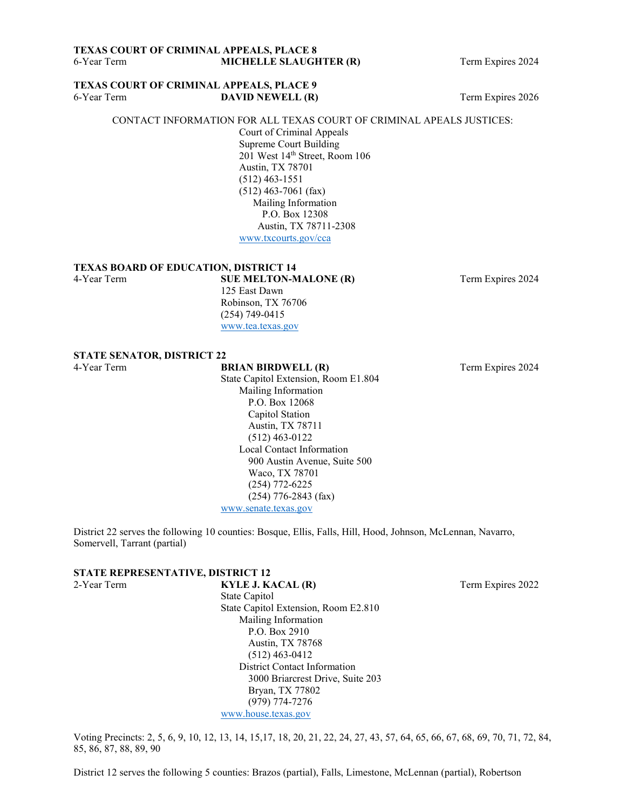#### **TEXAS COURT OF CRIMINAL APPEALS, PLACE 9** 6-Year Term **DAVID NEWELL (R)** Term Expires 2026

#### CONTACT INFORMATION FOR ALL TEXAS COURT OF CRIMINAL APEALS JUSTICES:

Court of Criminal Appeals Supreme Court Building 201 West 14<sup>th</sup> Street, Room 106 Austin, TX 78701 (512) 463-1551 (512) 463-7061 (fax) Mailing Information P.O. Box 12308 Austin, TX 78711-2308 [www.txcourts.gov/cca](http://www.txcourts.gov/cca)

#### **TEXAS BOARD OF EDUCATION, DISTRICT 14**

4-Year Term **SUE MELTON-MALONE (R)** Term Expires 2024 125 East Dawn Robinson, TX 76706 (254) 749-0415 [www.tea.texas.gov](http://www.tea.texas.gov/)

### **STATE SENATOR, DISTRICT 22**

4-Year Term **BRIAN BIRDWELL (R)** Term Expires 2024 State Capitol Extension, Room E1.804 Mailing Information P.O. Box 12068 Capitol Station Austin, TX 78711 (512) 463-0122 Local Contact Information 900 Austin Avenue, Suite 500 Waco, TX 78701 (254) 772-6225 (254) 776-2843 (fax) [www.senate.texas.gov](http://www.senate.texas.gov/)

District 22 serves the following 10 counties: Bosque, Ellis, Falls, Hill, Hood, Johnson, McLennan, Navarro, Somervell, Tarrant (partial)

# **STATE REPRESENTATIVE, DISTRICT 12**<br>2-Year Term **KYLE J. K**

State Capitol State Capitol Extension, Room E2.810 Mailing Information P.O. Box 2910 Austin, TX 78768 (512) 463-0412 District Contact Information 3000 Briarcrest Drive, Suite 203 Bryan, TX 77802 (979) 774-7276 [www.house.texas.gov](http://www.house.texas.gov/)

Voting Precincts: 2, 5, 6, 9, 10, 12, 13, 14, 15,17, 18, 20, 21, 22, 24, 27, 43, 57, 64, 65, 66, 67, 68, 69, 70, 71, 72, 84, 85, 86, 87, 88, 89, 90

District 12 serves the following 5 counties: Brazos (partial), Falls, Limestone, McLennan (partial), Robertson

**KYLE J. KACAL (R)** Term Expires 2022